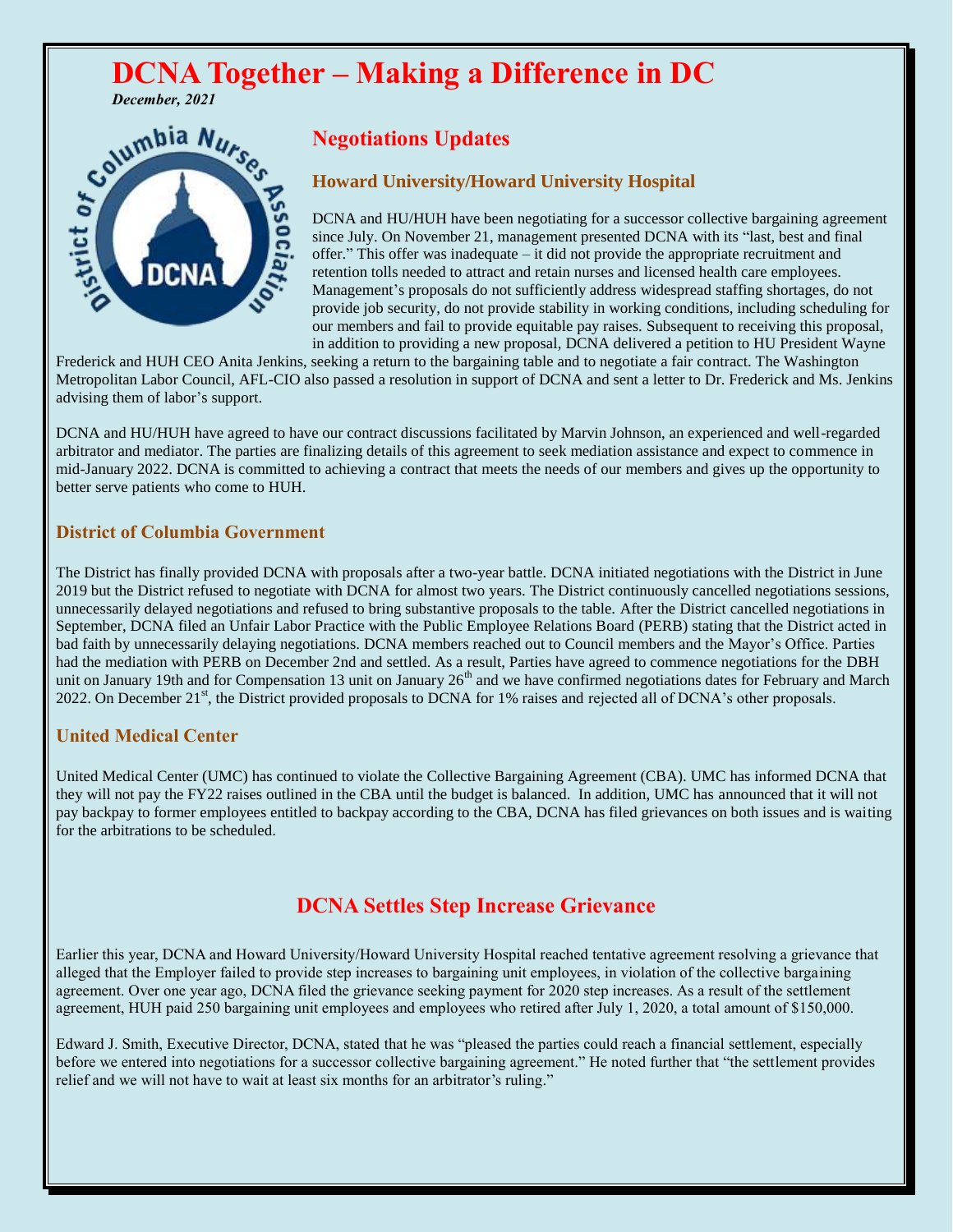# **DCNA Together – Making a Difference in DC**



## **Negotiations Updates**

#### **Howard University/Howard University Hospital**

DCNA and HU/HUH have been negotiating for a successor collective bargaining agreement since July. On November 21, management presented DCNA with its "last, best and final offer." This offer was inadequate – it did not provide the appropriate recruitment and retention tolls needed to attract and retain nurses and licensed health care employees. Management's proposals do not sufficiently address widespread staffing shortages, do not provide job security, do not provide stability in working conditions, including scheduling for our members and fail to provide equitable pay raises. Subsequent to receiving this proposal, in addition to providing a new proposal, DCNA delivered a petition to HU President Wayne

Frederick and HUH CEO Anita Jenkins, seeking a return to the bargaining table and to negotiate a fair contract. The Washington Metropolitan Labor Council, AFL-CIO also passed a resolution in support of DCNA and sent a letter to Dr. Frederick and Ms. Jenkins advising them of labor's support.

DCNA and HU/HUH have agreed to have our contract discussions facilitated by Marvin Johnson, an experienced and well-regarded arbitrator and mediator. The parties are finalizing details of this agreement to seek mediation assistance and expect to commence in mid-January 2022. DCNA is committed to achieving a contract that meets the needs of our members and gives up the opportunity to better serve patients who come to HUH.

#### **District of Columbia Government**

The District has finally provided DCNA with proposals after a two-year battle. DCNA initiated negotiations with the District in June 2019 but the District refused to negotiate with DCNA for almost two years. The District continuously cancelled negotiations sessions, unnecessarily delayed negotiations and refused to bring substantive proposals to the table. After the District cancelled negotiations in September, DCNA filed an Unfair Labor Practice with the Public Employee Relations Board (PERB) stating that the District acted in bad faith by unnecessarily delaying negotiations. DCNA members reached out to Council members and the Mayor's Office. Parties had the mediation with PERB on December 2nd and settled. As a result, Parties have agreed to commence negotiations for the DBH unit on January 19th and for Compensation 13 unit on January  $26<sup>th</sup>$  and we have confirmed negotiations dates for February and March 2022. On December  $21<sup>st</sup>$ , the District provided proposals to DCNA for 1% raises and rejected all of DCNA's other proposals.

#### **United Medical Center**

United Medical Center (UMC) has continued to violate the Collective Bargaining Agreement (CBA). UMC has informed DCNA that they will not pay the FY22 raises outlined in the CBA until the budget is balanced. In addition, UMC has announced that it will not pay backpay to former employees entitled to backpay according to the CBA, DCNA has filed grievances on both issues and is waiting for the arbitrations to be scheduled.

## **DCNA Settles Step Increase Grievance**

Earlier this year, DCNA and Howard University/Howard University Hospital reached tentative agreement resolving a grievance that alleged that the Employer failed to provide step increases to bargaining unit employees, in violation of the collective bargaining agreement. Over one year ago, DCNA filed the grievance seeking payment for 2020 step increases. As a result of the settlement agreement, HUH paid 250 bargaining unit employees and employees who retired after July 1, 2020, a total amount of \$150,000.

Edward J. Smith, Executive Director, DCNA, stated that he was "pleased the parties could reach a financial settlement, especially before we entered into negotiations for a successor collective bargaining agreement." He noted further that "the settlement provides relief and we will not have to wait at least six months for an arbitrator's ruling."